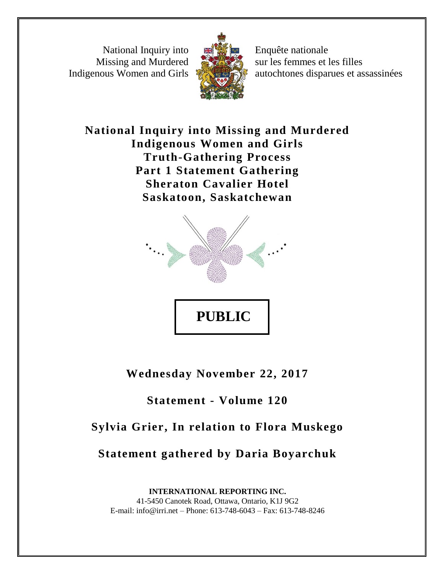National Inquiry into Missing and Murdered Indigenous Women and Girls



Enquête nationale sur les femmes et les filles autochtones disparues et assassinées

**National Inquiry into Missing and Murdered Indigenous Women and Girls Truth-Gathering Process Part 1 Statement Gathering Sheraton Cavalier Hotel Saskatoon, Saskatchewan**



**Wednesday November 22, 2017**

## **Statement - Volume 120**

# **Sylvia Grier, In relation to Flora Muskego**

**Statement gathered by Daria Boyarchuk**

**INTERNATIONAL REPORTING INC.** 41-5450 Canotek Road, Ottawa, Ontario, K1J 9G2 E-mail: info@irri.net – Phone: 613-748-6043 – Fax: 613-748-8246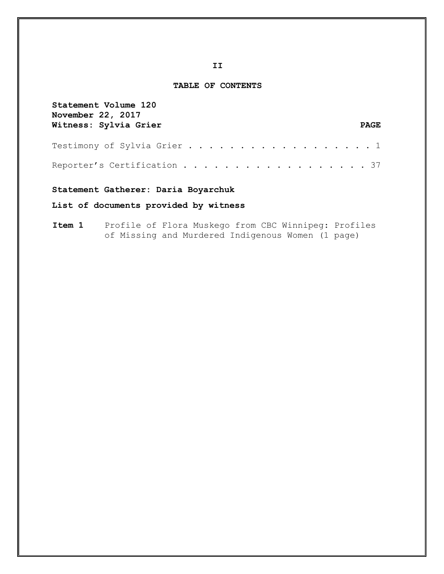#### **TABLE OF CONTENTS**

| Statement Volume 120<br>November 22, 2017 |             |
|-------------------------------------------|-------------|
| Witness: Sylvia Grier                     | <b>PAGE</b> |
| Testimony of Sylvia Grier 1               |             |
| Reporter's Certification 37               |             |

### **Statement Gatherer: Daria Boyarchuk**

## **List of documents provided by witness**

## **Item 1** Profile of Flora Muskego from CBC Winnipeg: Profiles of Missing and Murdered Indigenous Women (1 page)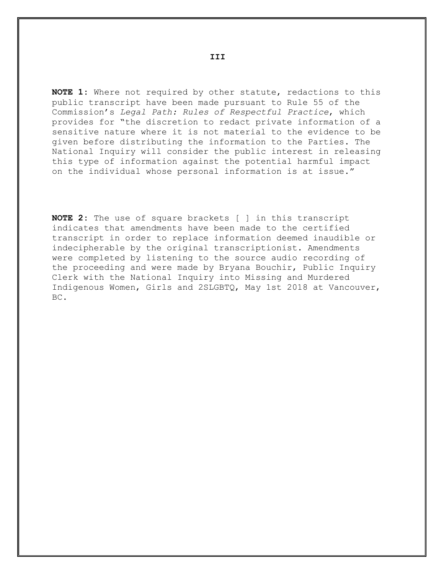**NOTE 1:** Where not required by other statute, redactions to this public transcript have been made pursuant to Rule 55 of the Commission's *Legal Path: Rules of Respectful Practice*, which provides for "the discretion to redact private information of a sensitive nature where it is not material to the evidence to be given before distributing the information to the Parties. The National Inquiry will consider the public interest in releasing this type of information against the potential harmful impact on the individual whose personal information is at issue."

**NOTE 2:** The use of square brackets [ ] in this transcript indicates that amendments have been made to the certified transcript in order to replace information deemed inaudible or indecipherable by the original transcriptionist. Amendments were completed by listening to the source audio recording of the proceeding and were made by Bryana Bouchir, Public Inquiry Clerk with the National Inquiry into Missing and Murdered Indigenous Women, Girls and 2SLGBTQ, May 1st 2018 at Vancouver, BC.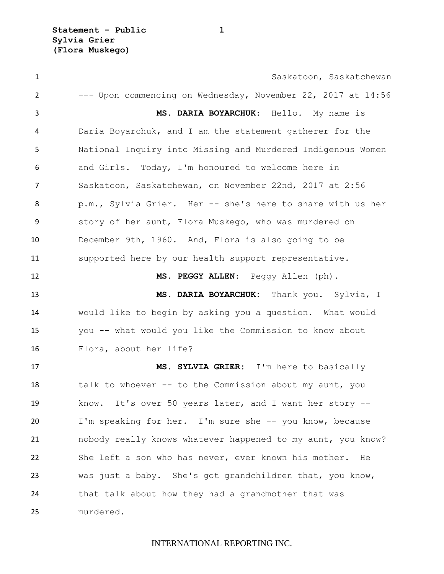1 Saskatoon, Saskatchewan --- Upon commencing on Wednesday, November 22, 2017 at 14:56 **MS. DARIA BOYARCHUK:** Hello. My name is Daria Boyarchuk, and I am the statement gatherer for the National Inquiry into Missing and Murdered Indigenous Women and Girls. Today, I'm honoured to welcome here in Saskatoon, Saskatchewan, on November 22nd, 2017 at 2:56 p.m., Sylvia Grier. Her -- she's here to share with us her story of her aunt, Flora Muskego, who was murdered on December 9th, 1960. And, Flora is also going to be supported here by our health support representative. **MS. PEGGY ALLEN:** Peggy Allen (ph). **MS. DARIA BOYARCHUK:** Thank you. Sylvia, I would like to begin by asking you a question. What would you -- what would you like the Commission to know about Flora, about her life? **MS. SYLVIA GRIER:** I'm here to basically 18 talk to whoever -- to the Commission about my aunt, you know. It's over 50 years later, and I want her story -- I'm speaking for her. I'm sure she -- you know, because nobody really knows whatever happened to my aunt, you know? She left a son who has never, ever known his mother. He was just a baby. She's got grandchildren that, you know, that talk about how they had a grandmother that was murdered.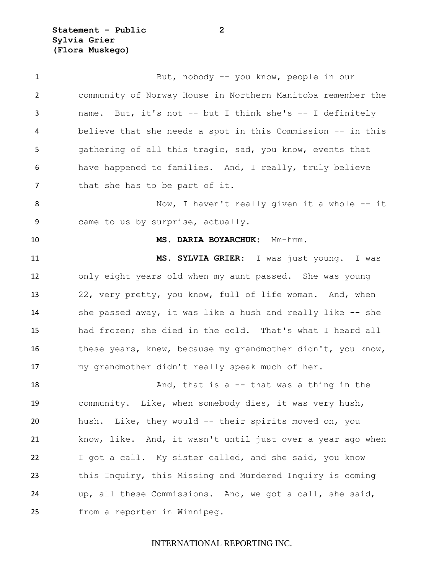**Statement - Public 2 Sylvia Grier (Flora Muskego)**

| $\mathbf{1}$   | But, nobody -- you know, people in our                      |
|----------------|-------------------------------------------------------------|
| $\overline{2}$ | community of Norway House in Northern Manitoba remember the |
| 3              | name. But, it's not -- but I think she's -- I definitely    |
| 4              | believe that she needs a spot in this Commission -- in this |
| 5              | gathering of all this tragic, sad, you know, events that    |
| 6              | have happened to families. And, I really, truly believe     |
| 7              | that she has to be part of it.                              |
| 8              | Now, I haven't really given it a whole -- it                |
| 9              | came to us by surprise, actually.                           |
| 10             | MS. DARIA BOYARCHUK: Mm-hmm.                                |
| 11             | MS. SYLVIA GRIER: I was just young. I was                   |
| 12             | only eight years old when my aunt passed. She was young     |
| 13             | 22, very pretty, you know, full of life woman. And, when    |
| 14             | she passed away, it was like a hush and really like -- she  |
| 15             | had frozen; she died in the cold. That's what I heard all   |
| 16             | these years, knew, because my grandmother didn't, you know, |
| 17             | my grandmother didn't really speak much of her.             |
| 18             | And, that is a $-$ that was a thing in the                  |
| 19             | community. Like, when somebody dies, it was very hush,      |
| 20             | hush. Like, they would -- their spirits moved on, you       |
| 21             | know, like. And, it wasn't until just over a year ago when  |
| 22             | I got a call. My sister called, and she said, you know      |
| 23             | this Inquiry, this Missing and Murdered Inquiry is coming   |
| 24             | up, all these Commissions. And, we got a call, she said,    |
| 25             | from a reporter in Winnipeg.                                |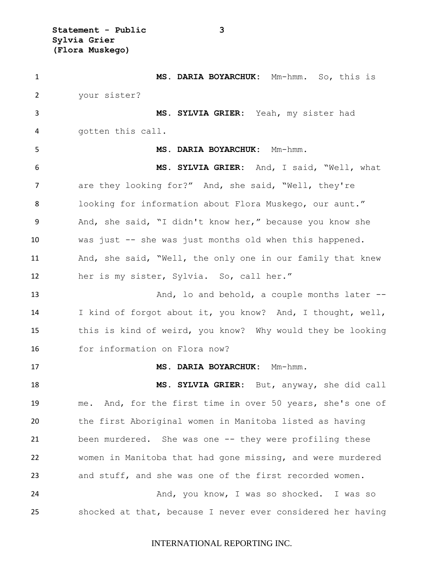**Statement - Public 3 Sylvia Grier (Flora Muskego)**

 **MS. DARIA BOYARCHUK:** Mm-hmm. So, this is your sister? **MS. SYLVIA GRIER:** Yeah, my sister had gotten this call. **MS. DARIA BOYARCHUK:** Mm-hmm. **MS. SYLVIA GRIER:** And, I said, "Well, what 7 are they looking for?" And, she said, "Well, they're looking for information about Flora Muskego, our aunt." And, she said, "I didn't know her," because you know she was just -- she was just months old when this happened. And, she said, "Well, the only one in our family that knew her is my sister, Sylvia. So, call her." 13 And, lo and behold, a couple months later -- I kind of forgot about it, you know? And, I thought, well, this is kind of weird, you know? Why would they be looking for information on Flora now? **MS. DARIA BOYARCHUK:** Mm-hmm. **MS. SYLVIA GRIER:** But, anyway, she did call me. And, for the first time in over 50 years, she's one of the first Aboriginal women in Manitoba listed as having been murdered. She was one -- they were profiling these women in Manitoba that had gone missing, and were murdered and stuff, and she was one of the first recorded women. 24 And, you know, I was so shocked. I was so shocked at that, because I never ever considered her having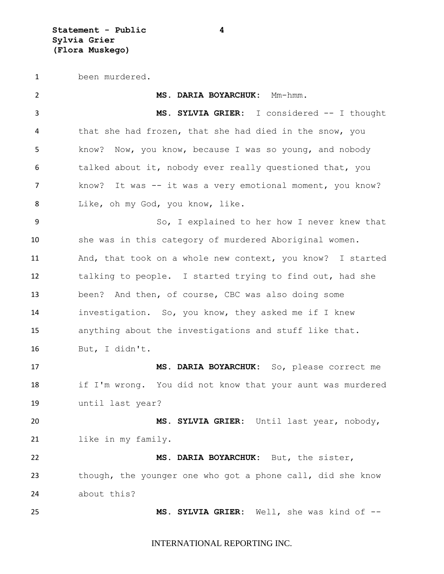been murdered.

| $\overline{2}$ | MS. DARIA BOYARCHUK: Mm-hmm.                               |
|----------------|------------------------------------------------------------|
| 3              | MS. SYLVIA GRIER: I considered -- I thought                |
| 4              | that she had frozen, that she had died in the snow, you    |
| 5              | know? Now, you know, because I was so young, and nobody    |
| 6              | talked about it, nobody ever really questioned that, you   |
| 7              | know? It was -- it was a very emotional moment, you know?  |
| 8              | Like, oh my God, you know, like.                           |
| 9              | So, I explained to her how I never knew that               |
| 10             | she was in this category of murdered Aboriginal women.     |
| 11             | And, that took on a whole new context, you know? I started |
| 12             | talking to people. I started trying to find out, had she   |
| 13             | been? And then, of course, CBC was also doing some         |
| 14             | investigation. So, you know, they asked me if I knew       |
| 15             | anything about the investigations and stuff like that.     |
| 16             | But, I didn't.                                             |
| 17             | MS. DARIA BOYARCHUK: So, please correct me                 |
| 18             | if I'm wrong. You did not know that your aunt was murdered |
| 19             | until last year?                                           |
| 20             | MS. SYLVIA GRIER: Until last year, nobody,                 |
| 21             | like in my family.                                         |
| 22             | MS. DARIA BOYARCHUK: But, the sister,                      |
| 23             | though, the younger one who got a phone call, did she know |
| 24             | about this?                                                |
| 25             | MS. SYLVIA GRIER: Well, she was kind of --                 |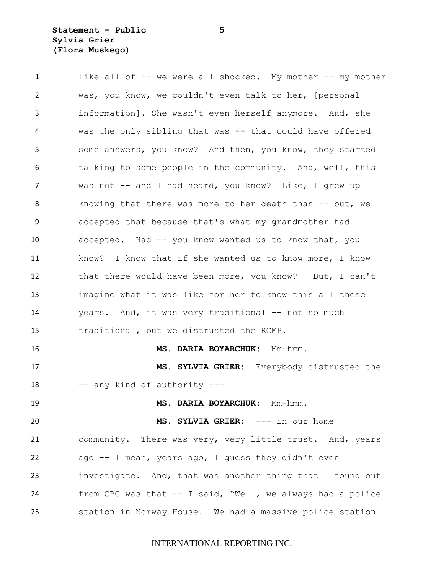## **Statement - Public 5 Sylvia Grier (Flora Muskego)**

| $\mathbf{1}$ | like all of -- we were all shocked. My mother -- my mother |
|--------------|------------------------------------------------------------|
| 2            | was, you know, we couldn't even talk to her, [personal     |
| 3            | information]. She wasn't even herself anymore. And, she    |
| 4            | was the only sibling that was -- that could have offered   |
| 5            | some answers, you know? And then, you know, they started   |
| 6            | talking to some people in the community. And, well, this   |
| 7            | was not -- and I had heard, you know? Like, I grew up      |
| 8            | knowing that there was more to her death than -- but, we   |
| 9            | accepted that because that's what my grandmother had       |
| 10           | accepted. Had -- you know wanted us to know that, you      |
| 11           | know? I know that if she wanted us to know more, I know    |
| 12           | that there would have been more, you know? But, I can't    |
| 13           | imagine what it was like for her to know this all these    |
| 14           | years. And, it was very traditional -- not so much         |
| 15           | traditional, but we distrusted the RCMP.                   |
| 16           | MS. DARIA BOYARCHUK: Mm-hmm.                               |
| 17           | MS. SYLVIA GRIER: Everybody distrusted the                 |
| 18           | -- any kind of authority ---                               |
| 19           | MS. DARIA BOYARCHUK: Mm-hmm.                               |
| 20           | MS. SYLVIA GRIER: --- in our home                          |
| 21           | community. There was very, very little trust. And, years   |
| 22           | ago -- I mean, years ago, I guess they didn't even         |
| 23           | investigate. And, that was another thing that I found out  |
| 24           | from CBC was that -- I said, "Well, we always had a police |
| 25           | station in Norway House. We had a massive police station   |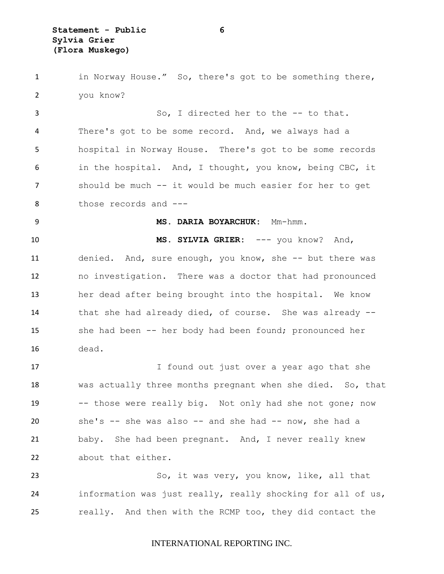in Norway House." So, there's got to be something there, you know?

 So, I directed her to the -- to that. There's got to be some record. And, we always had a hospital in Norway House. There's got to be some records in the hospital. And, I thought, you know, being CBC, it should be much -- it would be much easier for her to get 8 those records and ---

#### **MS. DARIA BOYARCHUK:** Mm-hmm.

 **MS. SYLVIA GRIER:** --- you know? And, denied. And, sure enough, you know, she -- but there was no investigation. There was a doctor that had pronounced her dead after being brought into the hospital. We know that she had already died, of course. She was already -- she had been -- her body had been found; pronounced her dead.

17 I found out just over a year ago that she was actually three months pregnant when she died. So, that -- those were really big. Not only had she not gone; now she's -- she was also -- and she had -- now, she had a baby. She had been pregnant. And, I never really knew about that either.

 So, it was very, you know, like, all that information was just really, really shocking for all of us, really. And then with the RCMP too, they did contact the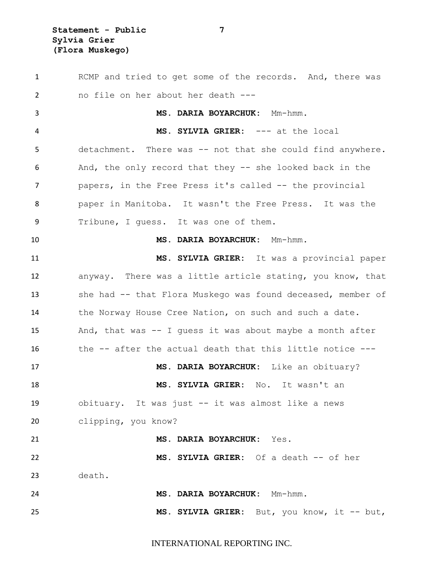**Statement - Public 7 Sylvia Grier (Flora Muskego)**

 RCMP and tried to get some of the records. And, there was no file on her about her death --- **MS. DARIA BOYARCHUK:** Mm-hmm. **MS. SYLVIA GRIER:** --- at the local detachment. There was -- not that she could find anywhere. And, the only record that they -- she looked back in the papers, in the Free Press it's called -- the provincial paper in Manitoba. It wasn't the Free Press. It was the Tribune, I guess. It was one of them. **MS. DARIA BOYARCHUK:** Mm-hmm. **MS. SYLVIA GRIER:** It was a provincial paper anyway. There was a little article stating, you know, that she had -- that Flora Muskego was found deceased, member of 14 the Norway House Cree Nation, on such and such a date. And, that was -- I guess it was about maybe a month after the -- after the actual death that this little notice --- **MS. DARIA BOYARCHUK:** Like an obituary? **MS. SYLVIA GRIER:** No. It wasn't an obituary. It was just -- it was almost like a news clipping, you know? **MS. DARIA BOYARCHUK:** Yes. **MS. SYLVIA GRIER:** Of a death -- of her death. **MS. DARIA BOYARCHUK:** Mm-hmm. **MS. SYLVIA GRIER:** But, you know, it -- but,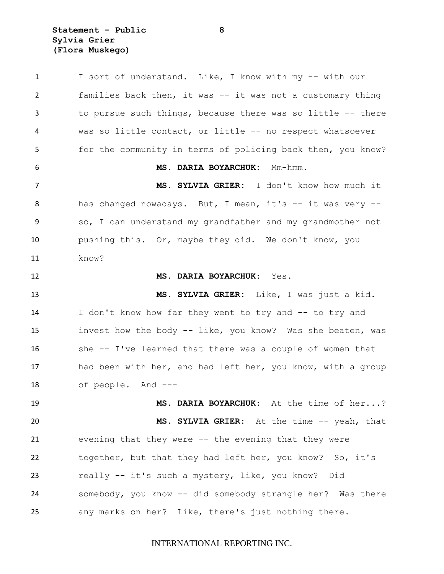**Statement - Public 8 Sylvia Grier (Flora Muskego)**

 I sort of understand. Like, I know with my -- with our families back then, it was -- it was not a customary thing to pursue such things, because there was so little -- there was so little contact, or little -- no respect whatsoever for the community in terms of policing back then, you know? **MS. DARIA BOYARCHUK:** Mm-hmm. **MS. SYLVIA GRIER:** I don't know how much it has changed nowadays. But, I mean, it's -- it was very -- so, I can understand my grandfather and my grandmother not pushing this. Or, maybe they did. We don't know, you know? **MS. DARIA BOYARCHUK:** Yes. **MS. SYLVIA GRIER:** Like, I was just a kid. I don't know how far they went to try and -- to try and invest how the body -- like, you know? Was she beaten, was she -- I've learned that there was a couple of women that 17 had been with her, and had left her, you know, with a group of people. And --- **MS. DARIA BOYARCHUK:** At the time of her...? **MS. SYLVIA GRIER:** At the time -- yeah, that evening that they were -- the evening that they were together, but that they had left her, you know? So, it's really -- it's such a mystery, like, you know? Did somebody, you know -- did somebody strangle her? Was there any marks on her? Like, there's just nothing there.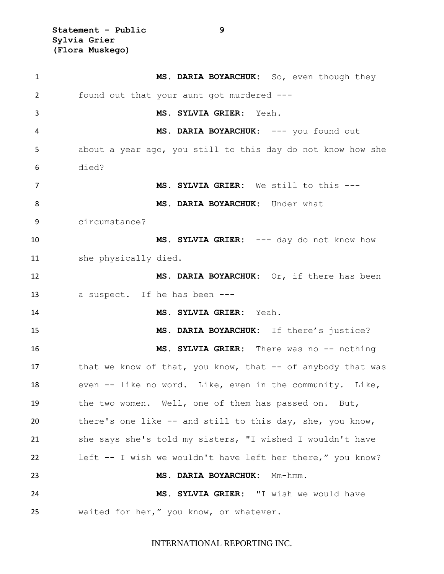**Statement - Public 9 Sylvia Grier (Flora Muskego)**

 **MS. DARIA BOYARCHUK:** So, even though they found out that your aunt got murdered --- **MS. SYLVIA GRIER:** Yeah. **MS. DARIA BOYARCHUK:** --- you found out about a year ago, you still to this day do not know how she died? **MS. SYLVIA GRIER:** We still to this --- **MS. DARIA BOYARCHUK:** Under what circumstance? **MS. SYLVIA GRIER:** --- day do not know how she physically died. **MS. DARIA BOYARCHUK:** Or, if there has been a suspect. If he has been --- **MS. SYLVIA GRIER:** Yeah. **MS. DARIA BOYARCHUK:** If there's justice? **MS. SYLVIA GRIER:** There was no -- nothing 17 that we know of that, you know, that -- of anybody that was even -- like no word. Like, even in the community. Like, the two women. Well, one of them has passed on. But, there's one like -- and still to this day, she, you know, she says she's told my sisters, "I wished I wouldn't have left -- I wish we wouldn't have left her there," you know? **MS. DARIA BOYARCHUK:** Mm-hmm. **MS. SYLVIA GRIER:** "I wish we would have waited for her," you know, or whatever.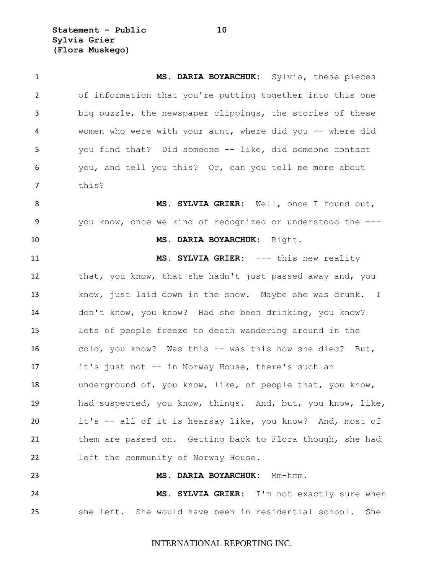**Statement - Public 10 Sylvia Grier (Flora Muskego)**

 **MS. DARIA BOYARCHUK:** Sylvia, these pieces of information that you're putting together into this one big puzzle, the newspaper clippings, the stories of these women who were with your aunt, where did you -- where did you find that? Did someone -- like, did someone contact you, and tell you this? Or, can you tell me more about this? **MS. SYLVIA GRIER:** Well, once I found out, you know, once we kind of recognized or understood the --- **MS. DARIA BOYARCHUK:** Right. **MS. SYLVIA GRIER:** --- this new reality that, you know, that she hadn't just passed away and, you know, just laid down in the snow. Maybe she was drunk. I don't know, you know? Had she been drinking, you know? Lots of people freeze to death wandering around in the cold, you know? Was this -- was this how she died? But, it's just not -- in Norway House, there's such an underground of, you know, like, of people that, you know, had suspected, you know, things. And, but, you know, like, it's -- all of it is hearsay like, you know? And, most of them are passed on. Getting back to Flora though, she had left the community of Norway House. **MS. DARIA BOYARCHUK:** Mm-hmm. **MS. SYLVIA GRIER:** I'm not exactly sure when she left. She would have been in residential school. She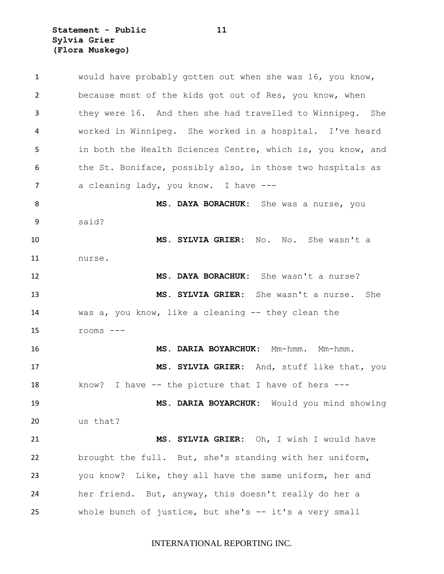**Statement - Public 11 Sylvia Grier (Flora Muskego)**

 would have probably gotten out when she was 16, you know, because most of the kids got out of Res, you know, when they were 16. And then she had travelled to Winnipeg. She worked in Winnipeg. She worked in a hospital. I've heard in both the Health Sciences Centre, which is, you know, and 6 the St. Boniface, possibly also, in those two hospitals as 7 a cleaning lady, you know. I have --- **MS. DAYA BORACHUK:** She was a nurse, you said? **MS. SYLVIA GRIER:** No. No. She wasn't a nurse. **MS. DAYA BORACHUK:** She wasn't a nurse? **MS. SYLVIA GRIER:** She wasn't a nurse. She was a, you know, like a cleaning -- they clean the rooms --- **MS. DARIA BOYARCHUK:** Mm-hmm. Mm-hmm. **MS. SYLVIA GRIER:** And, stuff like that, you know? I have -- the picture that I have of hers --- **MS. DARIA BOYARCHUK:** Would you mind showing us that? **MS. SYLVIA GRIER:** Oh, I wish I would have brought the full. But, she's standing with her uniform, you know? Like, they all have the same uniform, her and her friend. But, anyway, this doesn't really do her a whole bunch of justice, but she's -- it's a very small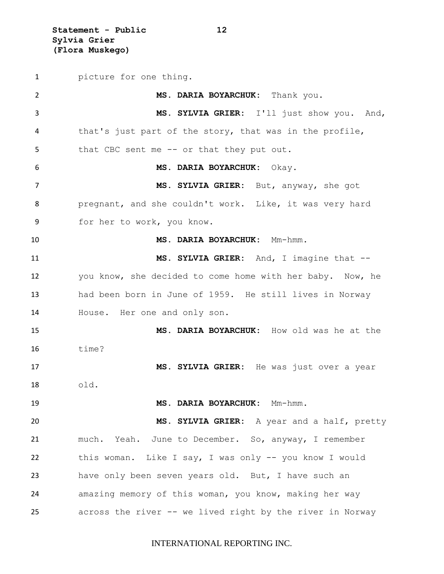**Statement - Public 12 Sylvia Grier (Flora Muskego)**

 picture for one thing. **MS. DARIA BOYARCHUK:** Thank you. **MS. SYLVIA GRIER:** I'll just show you. And, that's just part of the story, that was in the profile, 5 that CBC sent me -- or that they put out. **MS. DARIA BOYARCHUK:** Okay. **MS. SYLVIA GRIER:** But, anyway, she got pregnant, and she couldn't work. Like, it was very hard for her to work, you know. **MS. DARIA BOYARCHUK:** Mm-hmm. **MS. SYLVIA GRIER:** And, I imagine that -- you know, she decided to come home with her baby. Now, he had been born in June of 1959. He still lives in Norway House. Her one and only son. **MS. DARIA BOYARCHUK:** How old was he at the  $\qquad$   $\qquad$   $\qquad$   $\qquad$   $\qquad$   $\qquad$   $\qquad$   $\qquad$   $\qquad$   $\qquad$   $\qquad$   $\qquad$   $\qquad$   $\qquad$   $\qquad$   $\qquad$   $\qquad$   $\qquad$   $\qquad$   $\qquad$   $\qquad$   $\qquad$   $\qquad$   $\qquad$   $\qquad$   $\qquad$   $\qquad$   $\qquad$   $\qquad$   $\qquad$   $\qquad$   $\qquad$   $\qquad$   $\qquad$   $\qquad$   $\qquad$  **MS. SYLVIA GRIER:** He was just over a year old. **MS. DARIA BOYARCHUK:** Mm-hmm. **MS. SYLVIA GRIER:** A year and a half, pretty much. Yeah. June to December. So, anyway, I remember this woman. Like I say, I was only -- you know I would have only been seven years old. But, I have such an amazing memory of this woman, you know, making her way across the river -- we lived right by the river in Norway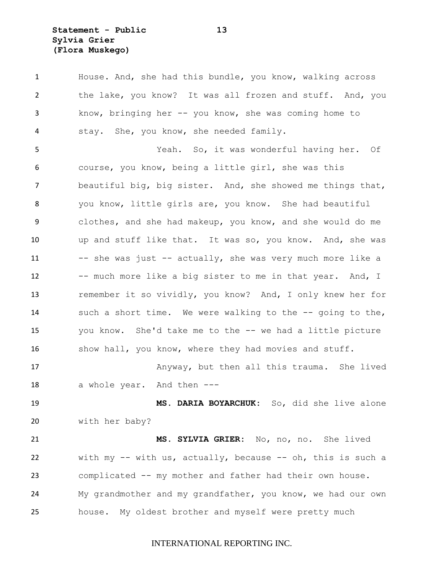**Statement - Public 13 Sylvia Grier (Flora Muskego)**

 House. And, she had this bundle, you know, walking across the lake, you know? It was all frozen and stuff. And, you know, bringing her -- you know, she was coming home to stay. She, you know, she needed family. Yeah. So, it was wonderful having her. Of course, you know, being a little girl, she was this beautiful big, big sister. And, she showed me things that, you know, little girls are, you know. She had beautiful clothes, and she had makeup, you know, and she would do me up and stuff like that. It was so, you know. And, she was 11 -- she was just -- actually, she was very much more like a 12 -- much more like a big sister to me in that year. And, I remember it so vividly, you know? And, I only knew her for such a short time. We were walking to the -- going to the, you know. She'd take me to the -- we had a little picture 16 show hall, you know, where they had movies and stuff. Anyway, but then all this trauma. She lived 18 a whole year. And then --- **MS. DARIA BOYARCHUK:** So, did she live alone with her baby? **MS. SYLVIA GRIER:** No, no, no. She lived with my -- with us, actually, because -- oh, this is such a complicated -- my mother and father had their own house. My grandmother and my grandfather, you know, we had our own house. My oldest brother and myself were pretty much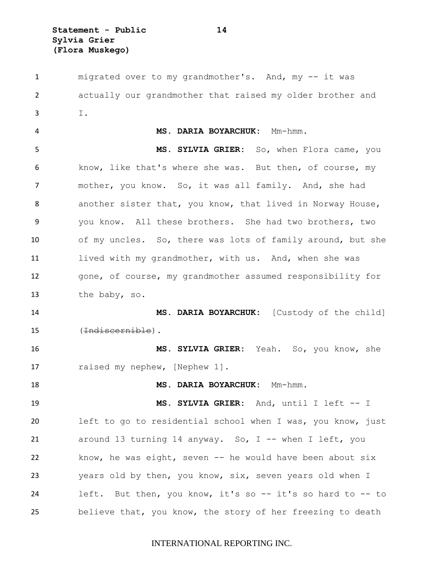**Statement - Public 14 Sylvia Grier (Flora Muskego)**

1 migrated over to my grandmother's. And, my -- it was actually our grandmother that raised my older brother and I. **MS. DARIA BOYARCHUK:** Mm-hmm. **MS. SYLVIA GRIER:** So, when Flora came, you know, like that's where she was. But then, of course, my mother, you know. So, it was all family. And, she had another sister that, you know, that lived in Norway House, you know. All these brothers. She had two brothers, two of my uncles. So, there was lots of family around, but she 11 lived with my grandmother, with us. And, when she was gone, of course, my grandmother assumed responsibility for the baby, so. **MS. DARIA BOYARCHUK:** [Custody of the child] (Indiscernible). **MS. SYLVIA GRIER:** Yeah. So, you know, she 17 raised my nephew, [Nephew 1]. **MS. DARIA BOYARCHUK:** Mm-hmm. **MS. SYLVIA GRIER:** And, until I left -- I left to go to residential school when I was, you know, just 21 around 13 turning 14 anyway. So, I -- when I left, you know, he was eight, seven -- he would have been about six years old by then, you know, six, seven years old when I left. But then, you know, it's so -- it's so hard to -- to believe that, you know, the story of her freezing to death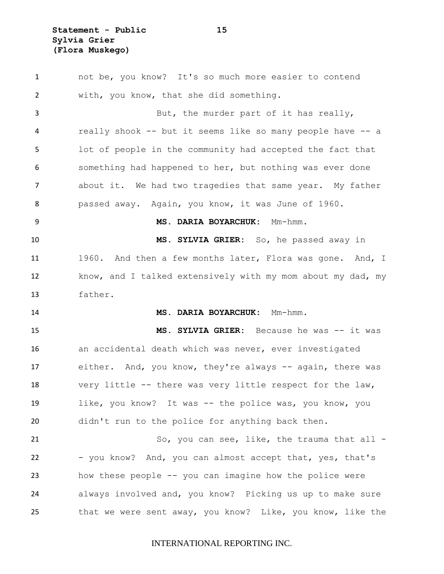**Statement - Public 15 Sylvia Grier (Flora Muskego)**

 not be, you know? It's so much more easier to contend with, you know, that she did something. 3 But, the murder part of it has really, really shook -- but it seems like so many people have -- a lot of people in the community had accepted the fact that something had happened to her, but nothing was ever done about it. We had two tragedies that same year. My father passed away. Again, you know, it was June of 1960. **MS. DARIA BOYARCHUK:** Mm-hmm. **MS. SYLVIA GRIER:** So, he passed away in 11 1960. And then a few months later, Flora was gone. And, I know, and I talked extensively with my mom about my dad, my father. **MS. DARIA BOYARCHUK:** Mm-hmm. **MS. SYLVIA GRIER:** Because he was -- it was an accidental death which was never, ever investigated either. And, you know, they're always -- again, there was very little -- there was very little respect for the law, like, you know? It was -- the police was, you know, you didn't run to the police for anything back then. 21 So, you can see, like, the trauma that all -22 - you know? And, you can almost accept that, yes, that's how these people -- you can imagine how the police were always involved and, you know? Picking us up to make sure that we were sent away, you know? Like, you know, like the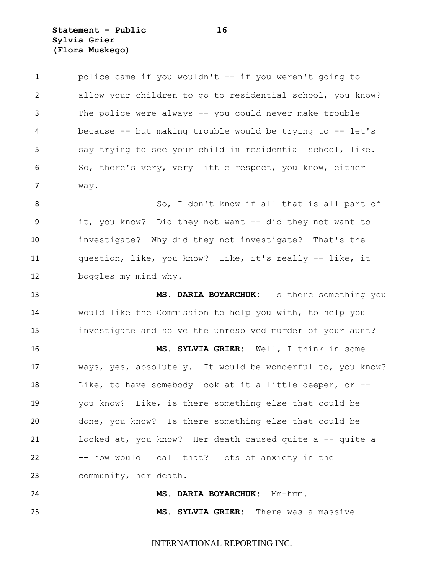**Statement - Public 16 Sylvia Grier (Flora Muskego)**

 police came if you wouldn't -- if you weren't going to allow your children to go to residential school, you know? The police were always -- you could never make trouble because -- but making trouble would be trying to -- let's say trying to see your child in residential school, like. So, there's very, very little respect, you know, either way.

8 So, I don't know if all that is all part of it, you know? Did they not want -- did they not want to investigate? Why did they not investigate? That's the question, like, you know? Like, it's really -- like, it boggles my mind why.

 **MS. DARIA BOYARCHUK:** Is there something you would like the Commission to help you with, to help you investigate and solve the unresolved murder of your aunt?

 **MS. SYLVIA GRIER:** Well, I think in some ways, yes, absolutely. It would be wonderful to, you know? Like, to have somebody look at it a little deeper, or -- you know? Like, is there something else that could be done, you know? Is there something else that could be looked at, you know? Her death caused quite a -- quite a -- how would I call that? Lots of anxiety in the community, her death.

 **MS. DARIA BOYARCHUK:** Mm-hmm. **MS. SYLVIA GRIER:** There was a massive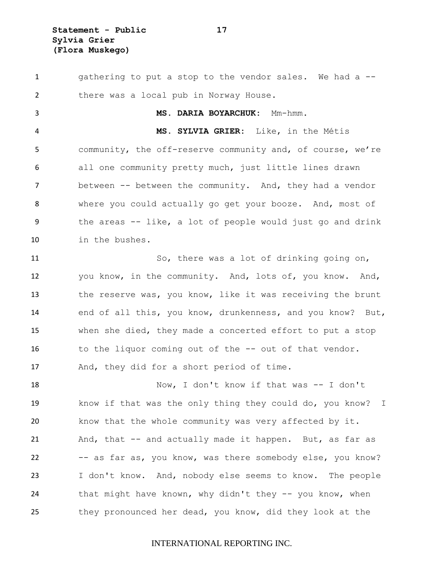**Statement - Public 17 Sylvia Grier (Flora Muskego)**

1 gathering to put a stop to the vendor sales. We had a -- there was a local pub in Norway House. **MS. DARIA BOYARCHUK:** Mm-hmm. **MS. SYLVIA GRIER:** Like, in the Métis community, the off-reserve community and, of course, we're all one community pretty much, just little lines drawn 7 between -- between the community. And, they had a vendor where you could actually go get your booze. And, most of the areas -- like, a lot of people would just go and drink in the bushes. So, there was a lot of drinking going on, you know, in the community. And, lots of, you know. And, 13 the reserve was, you know, like it was receiving the brunt end of all this, you know, drunkenness, and you know? But, when she died, they made a concerted effort to put a stop to the liquor coming out of the -- out of that vendor. And, they did for a short period of time. Now, I don't know if that was -- I don't know if that was the only thing they could do, you know? I know that the whole community was very affected by it. And, that -- and actually made it happen. But, as far as -- as far as, you know, was there somebody else, you know? I don't know. And, nobody else seems to know. The people that might have known, why didn't they -- you know, when they pronounced her dead, you know, did they look at the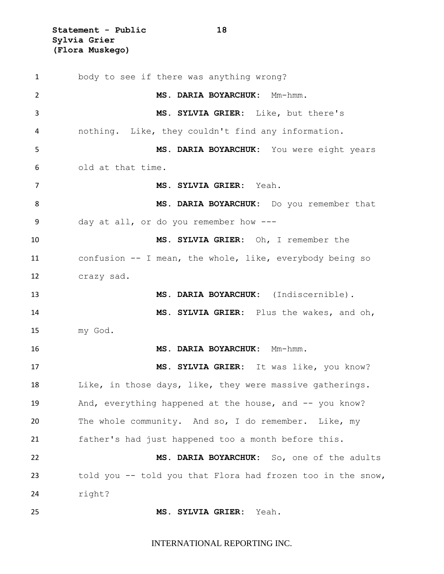**Statement - Public 18 Sylvia Grier (Flora Muskego)**

 body to see if there was anything wrong? **MS. DARIA BOYARCHUK:** Mm-hmm. **MS. SYLVIA GRIER:** Like, but there's nothing. Like, they couldn't find any information. **MS. DARIA BOYARCHUK:** You were eight years old at that time. **MS. SYLVIA GRIER:** Yeah. **MS. DARIA BOYARCHUK:** Do you remember that day at all, or do you remember how --- **MS. SYLVIA GRIER:** Oh, I remember the confusion -- I mean, the whole, like, everybody being so crazy sad. **MS. DARIA BOYARCHUK:** (Indiscernible). **MS. SYLVIA GRIER:** Plus the wakes, and oh, my God. **MS. DARIA BOYARCHUK:** Mm-hmm. **MS. SYLVIA GRIER:** It was like, you know? Like, in those days, like, they were massive gatherings. 19 And, everything happened at the house, and -- you know? The whole community. And so, I do remember. Like, my father's had just happened too a month before this. **MS. DARIA BOYARCHUK:** So, one of the adults told you -- told you that Flora had frozen too in the snow, right? **MS. SYLVIA GRIER:** Yeah.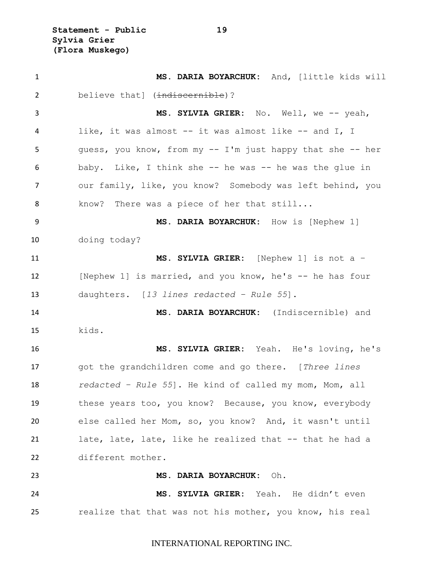**Statement - Public 19 Sylvia Grier (Flora Muskego)**

 **MS. DARIA BOYARCHUK:** And, [little kids will 2 believe that] (indiscernible)? **MS. SYLVIA GRIER:** No. Well, we -- yeah, like, it was almost -- it was almost like -- and I, I guess, you know, from my -- I'm just happy that she -- her baby. Like, I think she -- he was -- he was the glue in our family, like, you know? Somebody was left behind, you know? There was a piece of her that still... **MS. DARIA BOYARCHUK:** How is [Nephew 1] doing today? **MS. SYLVIA GRIER:** [Nephew 1] is not a – [Nephew 1] is married, and you know, he's -- he has four daughters. [*13 lines redacted – Rule 55*]. **MS. DARIA BOYARCHUK:** (Indiscernible) and kids. **MS. SYLVIA GRIER:** Yeah. He's loving, he's got the grandchildren come and go there. [*Three lines redacted – Rule 55*]. He kind of called my mom, Mom, all these years too, you know? Because, you know, everybody else called her Mom, so, you know? And, it wasn't until late, late, late, like he realized that -- that he had a different mother. **MS. DARIA BOYARCHUK:** Oh. **MS. SYLVIA GRIER:** Yeah. He didn't even realize that that was not his mother, you know, his real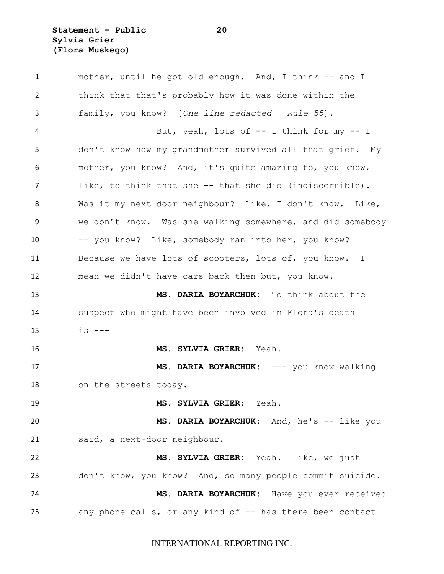**Statement - Public 20 Sylvia Grier (Flora Muskego)**

 mother, until he got old enough. And, I think -- and I think that that's probably how it was done within the family, you know? [*One line redacted – Rule 55*]. 4 But, yeah, lots of -- I think for my -- I don't know how my grandmother survived all that grief. My mother, you know? And, it's quite amazing to, you know, like, to think that she -- that she did (indiscernible). Was it my next door neighbour? Like, I don't know. Like, we don't know. Was she walking somewhere, and did somebody -- you know? Like, somebody ran into her, you know? 11 Because we have lots of scooters, lots of, you know. I mean we didn't have cars back then but, you know. **MS. DARIA BOYARCHUK:** To think about the suspect who might have been involved in Flora's death  $15 \t\t\t\t is \t---$  **MS. SYLVIA GRIER:** Yeah. **MS. DARIA BOYARCHUK:** --- you know walking on the streets today. **MS. SYLVIA GRIER:** Yeah. **MS. DARIA BOYARCHUK:** And, he's -- like you said, a next-door neighbour. **MS. SYLVIA GRIER:** Yeah. Like, we just don't know, you know? And, so many people commit suicide. **MS. DARIA BOYARCHUK:** Have you ever received 25 any phone calls, or any kind of -- has there been contact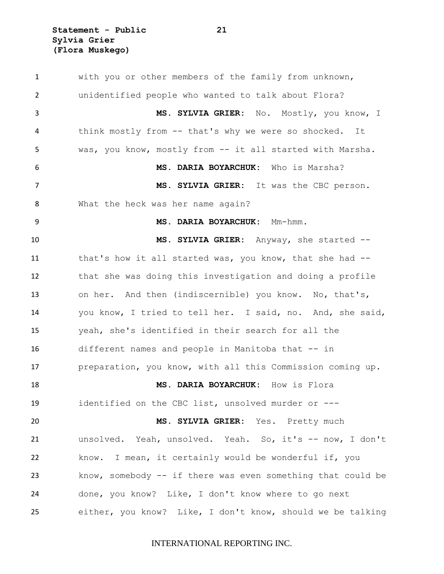**Statement - Public 21 Sylvia Grier (Flora Muskego)**

 with you or other members of the family from unknown, unidentified people who wanted to talk about Flora? **MS. SYLVIA GRIER:** No. Mostly, you know, I think mostly from -- that's why we were so shocked. It was, you know, mostly from -- it all started with Marsha. **MS. DARIA BOYARCHUK:** Who is Marsha? **MS. SYLVIA GRIER:** It was the CBC person. What the heck was her name again? **MS. DARIA BOYARCHUK:** Mm-hmm. **MS. SYLVIA GRIER:** Anyway, she started -- that's how it all started was, you know, that she had -- that she was doing this investigation and doing a profile on her. And then (indiscernible) you know. No, that's, you know, I tried to tell her. I said, no. And, she said, yeah, she's identified in their search for all the different names and people in Manitoba that -- in preparation, you know, with all this Commission coming up. **MS. DARIA BOYARCHUK:** How is Flora identified on the CBC list, unsolved murder or --- **MS. SYLVIA GRIER:** Yes. Pretty much unsolved. Yeah, unsolved. Yeah. So, it's -- now, I don't know. I mean, it certainly would be wonderful if, you know, somebody -- if there was even something that could be done, you know? Like, I don't know where to go next either, you know? Like, I don't know, should we be talking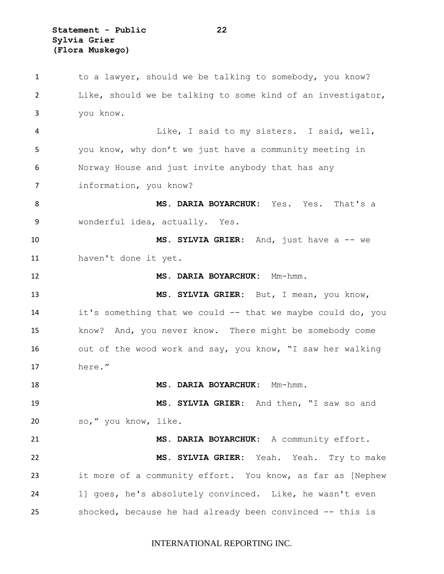**Statement - Public 22 Sylvia Grier (Flora Muskego)**

 to a lawyer, should we be talking to somebody, you know? Like, should we be talking to some kind of an investigator, you know. Like, I said to my sisters. I said, well, you know, why don't we just have a community meeting in Norway House and just invite anybody that has any information, you know? **MS. DARIA BOYARCHUK:** Yes. Yes. That's a wonderful idea, actually. Yes. **MS. SYLVIA GRIER:** And, just have a -- we haven't done it yet. **MS. DARIA BOYARCHUK:** Mm-hmm. **MS. SYLVIA GRIER:** But, I mean, you know, it's something that we could -- that we maybe could do, you know? And, you never know. There might be somebody come 16 out of the wood work and say, you know, "I saw her walking here." **MS. DARIA BOYARCHUK:** Mm-hmm. **MS. SYLVIA GRIER:** And then, "I saw so and so," you know, like. **MS. DARIA BOYARCHUK:** A community effort. **MS. SYLVIA GRIER:** Yeah. Yeah. Try to make it more of a community effort. You know, as far as [Nephew 1] goes, he's absolutely convinced. Like, he wasn't even shocked, because he had already been convinced -- this is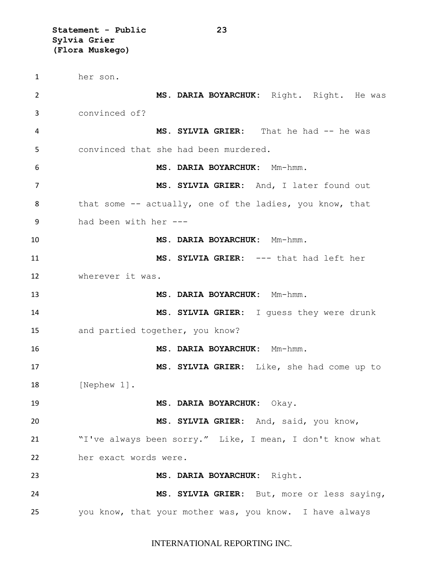**Statement - Public 23 Sylvia Grier (Flora Muskego)**

 her son. **MS. DARIA BOYARCHUK:** Right. Right. He was convinced of? 4 MS. SYLVIA GRIER: That he had -- he was convinced that she had been murdered. **MS. DARIA BOYARCHUK:** Mm-hmm. **MS. SYLVIA GRIER:** And, I later found out 8 that some -- actually, one of the ladies, you know, that had been with her --- **MS. DARIA BOYARCHUK:** Mm-hmm. **MS. SYLVIA GRIER:** --- that had left her wherever it was. **MS. DARIA BOYARCHUK:** Mm-hmm. **MS. SYLVIA GRIER:** I guess they were drunk and partied together, you know? **MS. DARIA BOYARCHUK:** Mm-hmm. **MS. SYLVIA GRIER:** Like, she had come up to [Nephew 1]. **MS. DARIA BOYARCHUK:** Okay. **MS. SYLVIA GRIER:** And, said, you know, "I've always been sorry." Like, I mean, I don't know what her exact words were. **MS. DARIA BOYARCHUK:** Right. **MS. SYLVIA GRIER:** But, more or less saying, you know, that your mother was, you know. I have always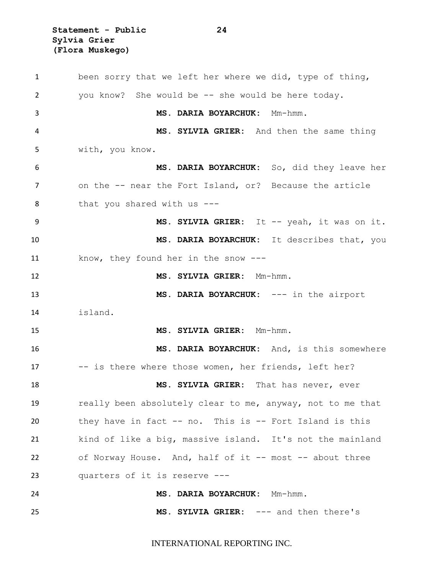**Statement - Public 24 Sylvia Grier (Flora Muskego)**

 been sorry that we left her where we did, type of thing, you know? She would be -- she would be here today. **MS. DARIA BOYARCHUK:** Mm-hmm. **MS. SYLVIA GRIER:** And then the same thing with, you know. **MS. DARIA BOYARCHUK:** So, did they leave her on the -- near the Fort Island, or? Because the article 8 that you shared with us ---9 MS. SYLVIA GRIER: It -- yeah, it was on it. **MS. DARIA BOYARCHUK:** It describes that, you know, they found her in the snow --- **MS. SYLVIA GRIER:** Mm-hmm. **MS. DARIA BOYARCHUK:** --- in the airport island. **MS. SYLVIA GRIER:** Mm-hmm. **MS. DARIA BOYARCHUK:** And, is this somewhere -- is there where those women, her friends, left her? **MS. SYLVIA GRIER:** That has never, ever really been absolutely clear to me, anyway, not to me that they have in fact -- no. This is -- Fort Island is this kind of like a big, massive island. It's not the mainland 22 of Norway House. And, half of it -- most -- about three quarters of it is reserve --- **MS. DARIA BOYARCHUK:** Mm-hmm. **MS. SYLVIA GRIER:** --- and then there's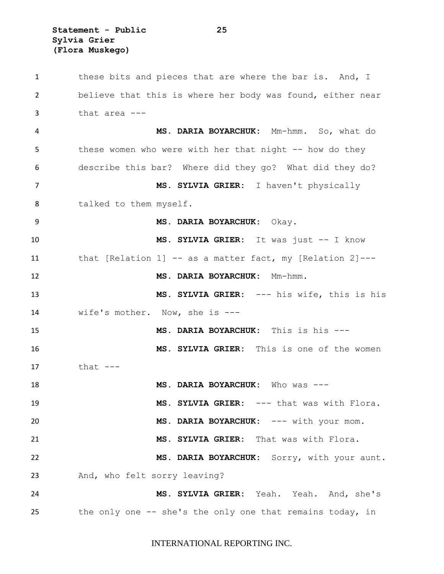**Statement - Public 25 Sylvia Grier (Flora Muskego)**

 these bits and pieces that are where the bar is. And, I believe that this is where her body was found, either near that area --- **MS. DARIA BOYARCHUK:** Mm-hmm. So, what do these women who were with her that night -- how do they describe this bar? Where did they go? What did they do? **MS. SYLVIA GRIER:** I haven't physically 8 talked to them myself. **MS. DARIA BOYARCHUK:** Okay. **MS. SYLVIA GRIER:** It was just -- I know that [Relation 1] -- as a matter fact, my [Relation 2]--- **MS. DARIA BOYARCHUK:** Mm-hmm. **MS. SYLVIA GRIER:** --- his wife, this is his wife's mother. Now, she is --- **MS. DARIA BOYARCHUK:** This is his --- **MS. SYLVIA GRIER:** This is one of the women that --- **MS. DARIA BOYARCHUK:** Who was --- 19 MS. SYLVIA GRIER: --- that was with Flora. **MS. DARIA BOYARCHUK:** --- with your mom. **MS. SYLVIA GRIER:** That was with Flora. **MS. DARIA BOYARCHUK:** Sorry, with your aunt. And, who felt sorry leaving? **MS. SYLVIA GRIER:** Yeah. Yeah. And, she's the only one -- she's the only one that remains today, in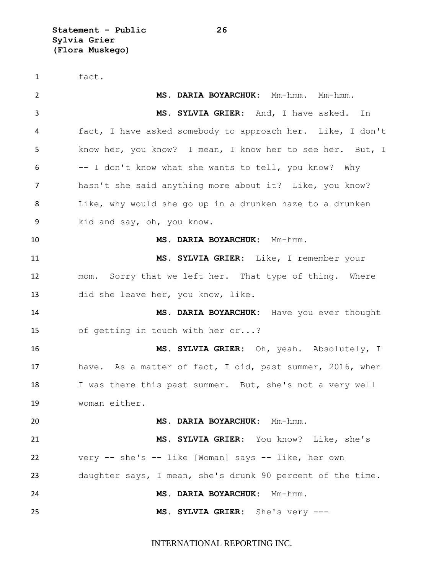**Statement - Public 26 Sylvia Grier (Flora Muskego)**

 fact. **MS. DARIA BOYARCHUK:** Mm-hmm. Mm-hmm. **MS. SYLVIA GRIER:** And, I have asked. In fact, I have asked somebody to approach her. Like, I don't know her, you know? I mean, I know her to see her. But, I -- I don't know what she wants to tell, you know? Why hasn't she said anything more about it? Like, you know? Like, why would she go up in a drunken haze to a drunken kid and say, oh, you know. **MS. DARIA BOYARCHUK:** Mm-hmm. **MS. SYLVIA GRIER:** Like, I remember your mom. Sorry that we left her. That type of thing. Where did she leave her, you know, like. **MS. DARIA BOYARCHUK:** Have you ever thought of getting in touch with her or...? **MS. SYLVIA GRIER:** Oh, yeah. Absolutely, I have. As a matter of fact, I did, past summer, 2016, when 18 I was there this past summer. But, she's not a very well woman either. **MS. DARIA BOYARCHUK:** Mm-hmm. **MS. SYLVIA GRIER:** You know? Like, she's very -- she's -- like [Woman] says -- like, her own daughter says, I mean, she's drunk 90 percent of the time. **MS. DARIA BOYARCHUK:** Mm-hmm. **MS. SYLVIA GRIER:** She's very ---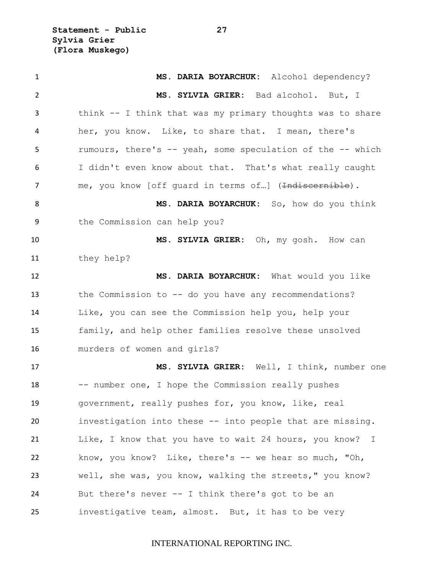**Statement - Public 27 Sylvia Grier (Flora Muskego)**

 **MS. DARIA BOYARCHUK:** Alcohol dependency? **MS. SYLVIA GRIER:** Bad alcohol. But, I think -- I think that was my primary thoughts was to share her, you know. Like, to share that. I mean, there's rumours, there's -- yeah, some speculation of the -- which I didn't even know about that. That's what really caught 7 me, you know [off quard in terms of...] (<del>Indiscernible</del>). **MS. DARIA BOYARCHUK:** So, how do you think the Commission can help you? **MS. SYLVIA GRIER:** Oh, my gosh. How can they help? **MS. DARIA BOYARCHUK:** What would you like the Commission to -- do you have any recommendations? Like, you can see the Commission help you, help your family, and help other families resolve these unsolved murders of women and girls? **MS. SYLVIA GRIER:** Well, I think, number one 18 -- number one, I hope the Commission really pushes government, really pushes for, you know, like, real investigation into these -- into people that are missing. Like, I know that you have to wait 24 hours, you know? I 22 know, you know? Like, there's -- we hear so much, "Oh, well, she was, you know, walking the streets," you know? But there's never -- I think there's got to be an investigative team, almost. But, it has to be very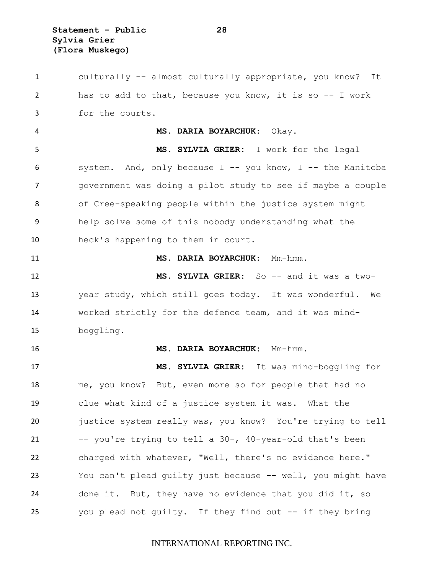culturally -- almost culturally appropriate, you know? It has to add to that, because you know, it is so -- I work for the courts. **MS. DARIA BOYARCHUK:** Okay. **MS. SYLVIA GRIER:** I work for the legal system. And, only because I -- you know, I -- the Manitoba government was doing a pilot study to see if maybe a couple of Cree-speaking people within the justice system might help solve some of this nobody understanding what the heck's happening to them in court. **MS. DARIA BOYARCHUK:** Mm-hmm. **MS. SYLVIA GRIER:** So -- and it was a two- year study, which still goes today. It was wonderful. We worked strictly for the defence team, and it was mind- boggling. **MS. DARIA BOYARCHUK:** Mm-hmm. **MS. SYLVIA GRIER:** It was mind-boggling for me, you know? But, even more so for people that had no clue what kind of a justice system it was. What the justice system really was, you know? You're trying to tell -- you're trying to tell a 30-, 40-year-old that's been charged with whatever, "Well, there's no evidence here." You can't plead guilty just because -- well, you might have done it. But, they have no evidence that you did it, so you plead not guilty. If they find out -- if they bring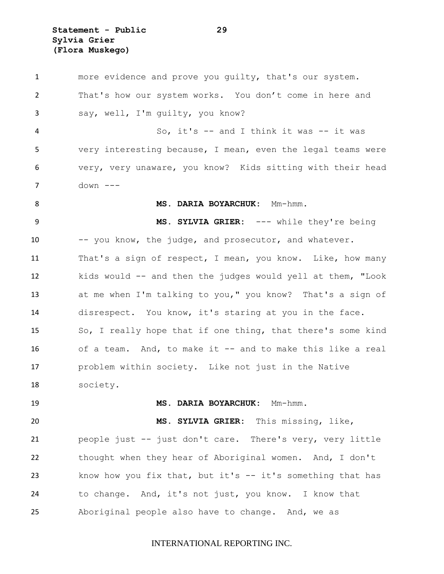**Statement - Public 29 Sylvia Grier (Flora Muskego)**

 more evidence and prove you guilty, that's our system. That's how our system works. You don't come in here and say, well, I'm guilty, you know? 4 So, it's -- and I think it was -- it was very interesting because, I mean, even the legal teams were very, very unaware, you know? Kids sitting with their head down --- 8 MS. DARIA BOYARCHUK: Mm-hmm. **MS. SYLVIA GRIER:** --- while they're being -- you know, the judge, and prosecutor, and whatever. That's a sign of respect, I mean, you know. Like, how many kids would -- and then the judges would yell at them, "Look at me when I'm talking to you," you know? That's a sign of disrespect. You know, it's staring at you in the face. So, I really hope that if one thing, that there's some kind of a team. And, to make it -- and to make this like a real problem within society. Like not just in the Native society. **MS. DARIA BOYARCHUK:** Mm-hmm. **MS. SYLVIA GRIER:** This missing, like, people just -- just don't care. There's very, very little thought when they hear of Aboriginal women. And, I don't know how you fix that, but it's -- it's something that has to change. And, it's not just, you know. I know that Aboriginal people also have to change. And, we as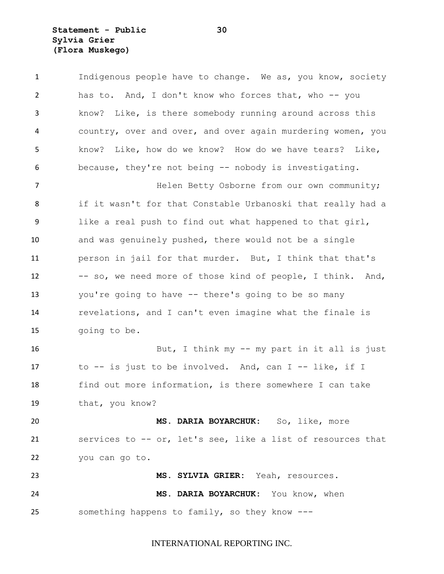**Statement - Public 30 Sylvia Grier (Flora Muskego)**

| $\mathbf{1}$   | Indigenous people have to change. We as, you know, society  |
|----------------|-------------------------------------------------------------|
| $\overline{2}$ | has to. And, I don't know who forces that, who -- you       |
| 3              | know? Like, is there somebody running around across this    |
| 4              | country, over and over, and over again murdering women, you |
| 5              | know? Like, how do we know? How do we have tears? Like,     |
| 6              | because, they're not being -- nobody is investigating.      |
| $\overline{7}$ | Helen Betty Osborne from our own community;                 |
| 8              | if it wasn't for that Constable Urbanoski that really had a |
| 9              | like a real push to find out what happened to that girl,    |
| 10             | and was genuinely pushed, there would not be a single       |
| 11             | person in jail for that murder. But, I think that that's    |
| 12             | -- so, we need more of those kind of people, I think. And,  |
| 13             | you're going to have -- there's going to be so many         |
| 14             | revelations, and I can't even imagine what the finale is    |
| 15             | going to be.                                                |
| 16             | But, I think my -- my part in it all is just                |
| 17             | to -- is just to be involved. And, can I -- like, if I      |
| 18             | find out more information, is there somewhere I can take    |
| 19             | that, you know?                                             |
| 20             | MS. DARIA BOYARCHUK: So, like, more                         |
| 21             | services to -- or, let's see, like a list of resources that |
| 22             | you can go to.                                              |
| 23             | MS. SYLVIA GRIER: Yeah, resources.                          |
| 24             | MS. DARIA BOYARCHUK: You know, when                         |
| 25             | something happens to family, so they know ---               |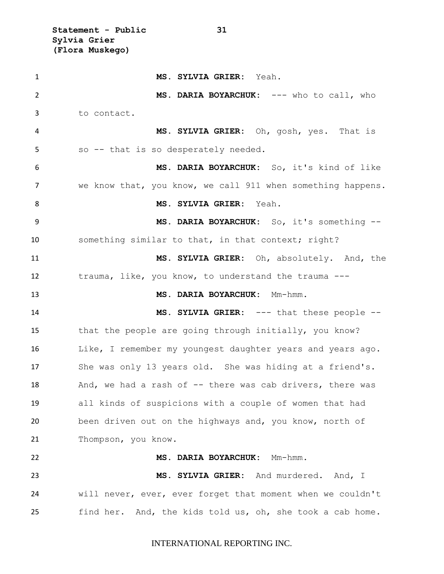**Statement - Public 31 Sylvia Grier (Flora Muskego)**

 **MS. SYLVIA GRIER:** Yeah. **MS. DARIA BOYARCHUK:** --- who to call, who to contact. **MS. SYLVIA GRIER:** Oh, gosh, yes. That is so -- that is so desperately needed. **MS. DARIA BOYARCHUK:** So, it's kind of like we know that, you know, we call 911 when something happens. **MS. SYLVIA GRIER:** Yeah. **MS. DARIA BOYARCHUK:** So, it's something -- something similar to that, in that context; right? **MS. SYLVIA GRIER:** Oh, absolutely. And, the trauma, like, you know, to understand the trauma --- **MS. DARIA BOYARCHUK:** Mm-hmm. **MS. SYLVIA GRIER:** --- that these people -- that the people are going through initially, you know? Like, I remember my youngest daughter years and years ago. She was only 13 years old. She was hiding at a friend's. 18 And, we had a rash of -- there was cab drivers, there was all kinds of suspicions with a couple of women that had been driven out on the highways and, you know, north of Thompson, you know. **MS. DARIA BOYARCHUK:** Mm-hmm. **MS. SYLVIA GRIER:** And murdered. And, I will never, ever, ever forget that moment when we couldn't find her. And, the kids told us, oh, she took a cab home.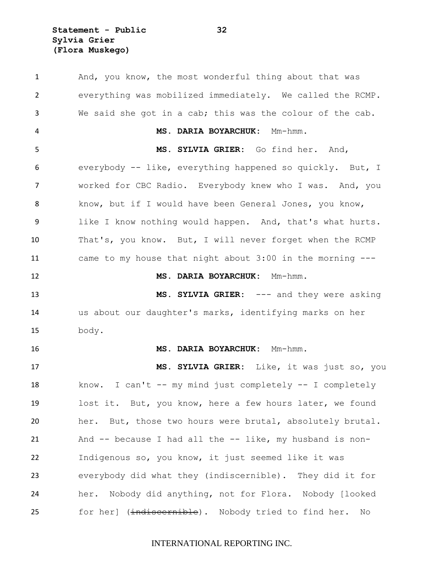**Statement - Public 32 Sylvia Grier (Flora Muskego)**

1 And, you know, the most wonderful thing about that was everything was mobilized immediately. We called the RCMP. We said she got in a cab; this was the colour of the cab. **MS. DARIA BOYARCHUK:** Mm-hmm. **MS. SYLVIA GRIER:** Go find her. And, everybody -- like, everything happened so quickly. But, I worked for CBC Radio. Everybody knew who I was. And, you know, but if I would have been General Jones, you know, like I know nothing would happen. And, that's what hurts. That's, you know. But, I will never forget when the RCMP came to my house that night about 3:00 in the morning --- **MS. DARIA BOYARCHUK:** Mm-hmm. **MS. SYLVIA GRIER:** --- and they were asking us about our daughter's marks, identifying marks on her body. **MS. DARIA BOYARCHUK:** Mm-hmm. **MS. SYLVIA GRIER:** Like, it was just so, you know. I can't -- my mind just completely -- I completely lost it. But, you know, here a few hours later, we found her. But, those two hours were brutal, absolutely brutal. And -- because I had all the -- like, my husband is non- Indigenous so, you know, it just seemed like it was everybody did what they (indiscernible). They did it for her. Nobody did anything, not for Flora. Nobody [looked 25 for her] (indiscernible). Nobody tried to find her. No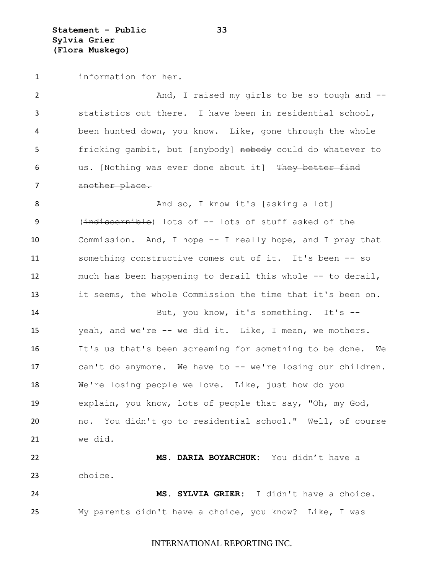**Statement - Public 33 Sylvia Grier (Flora Muskego)**

information for her.

2 And, I raised my girls to be so tough and -- statistics out there. I have been in residential school, been hunted down, you know. Like, gone through the whole 5 fricking gambit, but [anybody] nobody could do whatever to 6 us. [Nothing was ever done about it] They better find 7 another place. 8 And so, I know it's [asking a lot] (indiscernible) lots of -- lots of stuff asked of the Commission. And, I hope -- I really hope, and I pray that something constructive comes out of it. It's been -- so much has been happening to derail this whole -- to derail, it seems, the whole Commission the time that it's been on. But, you know, it's something. It's -- yeah, and we're -- we did it. Like, I mean, we mothers. It's us that's been screaming for something to be done. We can't do anymore. We have to -- we're losing our children. We're losing people we love. Like, just how do you explain, you know, lots of people that say, "Oh, my God, no. You didn't go to residential school." Well, of course we did. **MS. DARIA BOYARCHUK:** You didn't have a choice.

 **MS. SYLVIA GRIER:** I didn't have a choice. My parents didn't have a choice, you know? Like, I was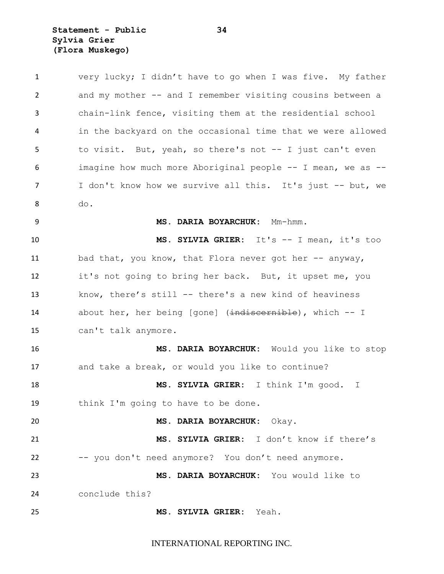**Statement - Public 34 Sylvia Grier (Flora Muskego)**

| $\mathbf{1}$   | very lucky; I didn't have to go when I was five. My father  |
|----------------|-------------------------------------------------------------|
| $\overline{2}$ | and my mother -- and I remember visiting cousins between a  |
| 3              | chain-link fence, visiting them at the residential school   |
| 4              | in the backyard on the occasional time that we were allowed |
| 5              | to visit. But, yeah, so there's not -- I just can't even    |
| 6              | imagine how much more Aboriginal people -- I mean, we as -- |
| $\overline{7}$ | I don't know how we survive all this. It's just -- but, we  |
| 8              | do.                                                         |
| 9              | MS. DARIA BOYARCHUK: Mm-hmm.                                |
| 10             | MS. SYLVIA GRIER: It's -- I mean, it's too                  |
| 11             | bad that, you know, that Flora never got her -- anyway,     |
| 12             | it's not going to bring her back. But, it upset me, you     |
| 13             | know, there's still -- there's a new kind of heaviness      |
| 14             | about her, her being [gone] (indiscernible), which -- I     |
| 15             | can't talk anymore.                                         |
| 16             | MS. DARIA BOYARCHUK: Would you like to stop                 |
| 17             | and take a break, or would you like to continue?            |
| 18             | MS. SYLVIA GRIER: I think I'm good. I                       |
| 19             | think I'm going to have to be done.                         |
| 20             | MS. DARIA BOYARCHUK:<br>Okay.                               |
| 21             | MS. SYLVIA GRIER: I don't know if there's                   |
| 22             | -- you don't need anymore? You don't need anymore.          |
| 23             | MS. DARIA BOYARCHUK: You would like to                      |
| 24             | conclude this?                                              |
| 25             | <b>MS. SYLVIA GRIER:</b><br>Yeah.                           |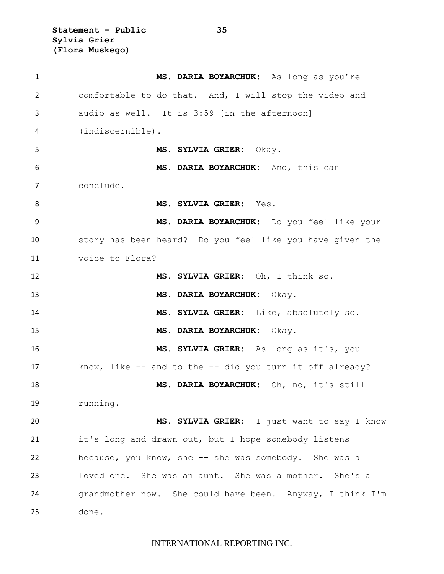**Statement - Public 35 Sylvia Grier (Flora Muskego)**

| 1  | MS. DARIA BOYARCHUK: As long as you're                     |
|----|------------------------------------------------------------|
| 2  | comfortable to do that. And, I will stop the video and     |
| 3  | audio as well. It is 3:59 [in the afternoon]               |
| 4  | (indiscernible).                                           |
| 5  | MS. SYLVIA GRIER: Okay.                                    |
| 6  | MS. DARIA BOYARCHUK: And, this can                         |
| 7  | conclude.                                                  |
| 8  | MS. SYLVIA GRIER: Yes.                                     |
| 9  | MS. DARIA BOYARCHUK: Do you feel like your                 |
| 10 | story has been heard? Do you feel like you have given the  |
| 11 | voice to Flora?                                            |
| 12 | MS. SYLVIA GRIER: Oh, I think so.                          |
| 13 | MS. DARIA BOYARCHUK: Okay.                                 |
| 14 | MS. SYLVIA GRIER: Like, absolutely so.                     |
| 15 | MS. DARIA BOYARCHUK: Okay.                                 |
| 16 | MS. SYLVIA GRIER: As long as it's, you                     |
| 17 | know, like $-$ and to the $-$ did you turn it off already? |
| 18 | MS. DARIA BOYARCHUK: Oh, no, it's still                    |
| 19 | running.                                                   |
| 20 | MS. SYLVIA GRIER: I just want to say I know                |
| 21 | it's long and drawn out, but I hope somebody listens       |
| 22 | because, you know, she $-$ she was somebody. She was a     |
| 23 | loved one. She was an aunt. She was a mother. She's a      |
| 24 | grandmother now. She could have been. Anyway, I think I'm  |
| 25 | done.                                                      |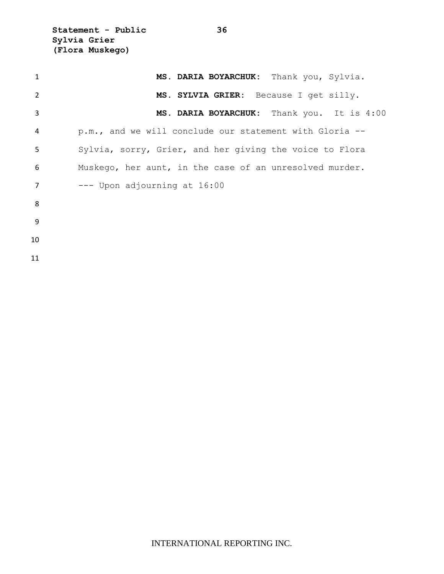**Statement - Public 36 Sylvia Grier (Flora Muskego)**

| 1  | MS. DARIA BOYARCHUK: Thank you, Sylvia.                 |
|----|---------------------------------------------------------|
| 2  | MS. SYLVIA GRIER: Because I get silly.                  |
| 3  | MS. DARIA BOYARCHUK: Thank you. It is 4:00              |
| 4  | p.m., and we will conclude our statement with Gloria -- |
| 5  | Sylvia, sorry, Grier, and her giving the voice to Flora |
| 6  | Muskego, her aunt, in the case of an unresolved murder. |
| 7  | --- Upon adjourning at 16:00                            |
| 8  |                                                         |
| 9  |                                                         |
| 10 |                                                         |
| 11 |                                                         |